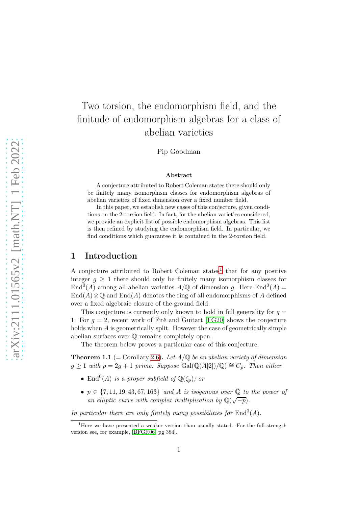# Two torsion, the endomorphism field, and the finitude of endomorphism algebras for a class of abelian varieties

Pip Goodman

#### Abstract

A conjecture attributed to Robert Coleman states there should only be finitely many isomorphism classes for endomorphism algebras of abelian varieties of fixed dimension over a fixed number field.

In this paper, we establish new cases of this conjecture, given conditions on the 2-torsion field. In fact, for the abelian varieties considered, we provide an explicit list of possible endomorphism algebras. This list is then refined by studying the endomorphism field. In particular, we find conditions which guarantee it is contained in the 2-torsion field.

### 1 Introduction

A conjecture attributed to Robert Coleman states<sup>[1](#page-0-0)</sup> that for any positive integer  $g \geq 1$  there should only be finitely many isomorphism classes for  $\text{End}^0(A)$  among all abelian varieties  $A/\mathbb{Q}$  of dimension g. Here  $\text{End}^0(A)$  =  $\text{End}(A)\otimes\mathbb{Q}$  and  $\text{End}(A)$  denotes the ring of all endomorphisms of A defined over a fixed algebraic closure of the ground field.

This conjecture is currently only known to hold in full generality for  $g =$ 1. For  $g = 2$ , recent work of Fité and Guitart [\[FG20\]](#page-12-0) shows the conjecture holds when A is geometrically split. However the case of geometrically simple abelian surfaces over Q remains completely open.

The theorem below proves a particular case of this conjecture.

<span id="page-0-1"></span>**Theorem 1.1** (= Corollary [2.6\)](#page-5-0). Let  $A/\mathbb{Q}$  be an abelian variety of dimension  $g \ge 1$  with  $p = 2g + 1$  prime. Suppose Gal( $\mathbb{Q}(A[2])/\mathbb{Q} \cong C_p$ . Then either

- End<sup>0</sup>(A) is a proper subfield of  $\mathbb{Q}(\zeta_p)$ ; or
- $p \in \{7, 11, 19, 43, 67, 163\}$  and A is isogenous over  $\overline{Q}$  to the power of an elliptic curve with complex multiplication by  $\mathbb{Q}(\sqrt{-p})$ .

In particular there are only finitely many possibilities for  $\text{End}^0(A)$ .

<span id="page-0-0"></span> $1$ <sup>1</sup>Here we have presented a weaker version than usually stated. For the full-strength version see, for example, [\[BFGR06,](#page-12-1) pg 384].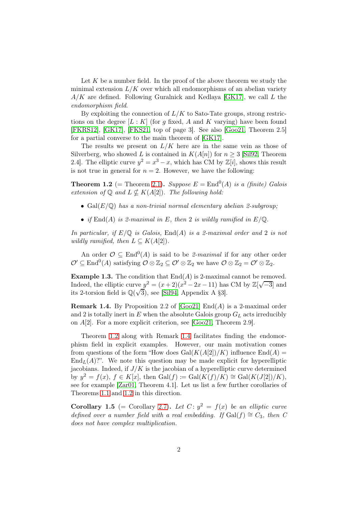Let  $K$  be a number field. In the proof of the above theorem we study the minimal extension  $L/K$  over which all endomorphisms of an abelian variety  $A/K$  are defined. Following Guralnick and Kedlaya [\[GK17\]](#page-12-2), we call L the endomorphism field.

By exploiting the connection of  $L/K$  to Sato-Tate groups, strong restrictions on the degree  $[L: K]$  (for g fixed, A and K varying) have been found [\[FKRS12\]](#page-12-3), [\[GK17\]](#page-12-2), [\[FKS21,](#page-12-4) top of page 3]. See also [\[Goo21,](#page-12-5) Theorem 2.5] for a partial converse to the main theorem of [\[GK17\]](#page-12-2).

The results we present on  $L/K$  here are in the same vein as those of Silverberg, who showed L is contained in  $K(A[n])$  for  $n \geq 3$  [\[Sil92,](#page-13-0) Theorem 2.4]. The elliptic curve  $y^2 = x^3 - x$ , which has CM by  $\mathbb{Z}[i]$ , shows this result is not true in general for  $n = 2$ . However, we have the following:

<span id="page-1-0"></span>**Theorem 1.2** (= Theorem [2.1\)](#page-3-0). Suppose  $E = \text{End}^0(A)$  is a (finite) Galois extension of  $\mathbb Q$  and  $L \nsubseteq K(A[2])$ . The following hold:

- Gal $(E/\mathbb{Q})$  has a non-trivial normal elementary abelian 2-subgroup;
- if  $\text{End}(A)$  is 2-maximal in E, then 2 is wildly ramified in  $E/\mathbb{Q}$ .

In particular, if  $E/\mathbb{Q}$  is Galois,  $\text{End}(A)$  is a 2-maximal order and 2 is not wildly ramified, then  $L \subseteq K(A[2])$ .

An order  $\mathcal{O} \subseteq \text{End}^0(A)$  is said to be 2-maximal if for any other order  $\mathcal{O}' \subseteq \text{End}^0(A)$  satisfying  $\mathcal{O} \otimes \mathbb{Z}_2 \subseteq \mathcal{O}' \otimes \mathbb{Z}_2$  we have  $\mathcal{O} \otimes \mathbb{Z}_2 = \mathcal{O}' \otimes \mathbb{Z}_2$ .

**Example 1.3.** The condition that  $\text{End}(A)$  is 2-maximal cannot be removed. Indeed, the elliptic curve  $y^2 = (x+2)(x^2-2x-11)$  has CM by  $\mathbb{Z}[\sqrt{-3}]$  and its 2-torsion field is  $\mathbb{Q}(\sqrt{3})$ , see [\[Sil94,](#page-13-1) Appendix A §3].

<span id="page-1-1"></span>**Remark 1.4.** By Proposition 2.2 of  $[Goo21]$  End(A) is a 2-maximal order and 2 is totally inert in  $E$  when the absolute Galois group  $G_L$  acts irreducibly on A[2]. For a more explicit criterion, see [\[Goo21,](#page-12-5) Theorem 2.9].

Theorem [1.2](#page-1-0) along with Remark [1.4](#page-1-1) facilitates finding the endomorphism field in explicit examples. However, our main motivation comes from questions of the form "How does  $Gal(K(A[2])/K)$  influence  $End(A)$  =  $\text{End}_L(A)$ ?". We note this question may be made explicit for hyperelliptic jacobians. Indeed, if  $J/K$  is the jacobian of a hyperelliptic curve determined by  $y^2 = f(x)$ ,  $f \in K[x]$ , then  $Gal(f) := Gal(K(f)/K) \cong Gal(K(J[2])/K)$ , see for example [\[Zar01,](#page-13-2) Theorem 4.1]. Let us list a few further corollaries of Theorems [1.1](#page-0-1) and [1.2](#page-1-0) in this direction.

**Corollary 1.5** (= Corollary [2.7\)](#page-6-0). Let  $C: y^2 = f(x)$  be an elliptic curve defined over a number field with a real embedding. If  $Gal(f) \cong C_3$ , then C does not have complex multiplication.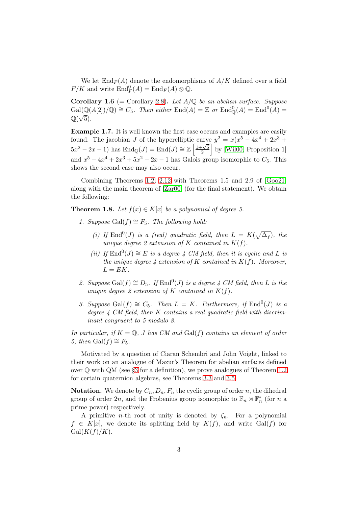We let  $\text{End}_F(A)$  denote the endomorphisms of  $A/K$  defined over a field  $F/K$  and write  $\text{End}_F^0(A) = \text{End}_F(A) \otimes \mathbb{Q}$ .

**Corollary 1.6** (= Corollary [2.8\)](#page-6-1). Let  $A/\mathbb{Q}$  be an abelian surface. Suppose  $Gal(\mathbb{Q}(A[2])/\mathbb{Q}) \cong C_5$ . Then either  $End(A) = \mathbb{Z}$  or  $End_{\mathbb{Q}}^0(A) = End^0(A)$  $\mathbb{Q}(\sqrt{5})$ .

Example 1.7. It is well known the first case occurs and examples are easily found. The jacobian J of the hyperelliptic curve  $y^2 = x(x^5 - 4x^4 + 2x^3 +$  $5x^2 - 2x - 1$ ) has  $\text{End}_{\mathbb{Q}}(J) = \text{End}(J) \cong \mathbb{Z} \left[ \frac{1 + \sqrt{5}}{2} \right]$  $\frac{1}{2}$  by [\[Wil00,](#page-13-3) Proposition 1] and  $x^5 - 4x^4 + 2x^3 + 5x^2 - 2x - 1$  has Galois group isomorphic to  $C_5$ . This shows the second case may also occur.

Combining Theorems [1.2,](#page-1-0) [2.12](#page-8-0) with Theorems 1.5 and 2.9 of [\[Goo21\]](#page-12-5) along with the main theorem of [\[Zar00\]](#page-13-4) (for the final statement). We obtain the following:

<span id="page-2-0"></span>**Theorem 1.8.** Let  $f(x) \in K[x]$  be a polynomial of degree 5.

- 1. Suppose Gal(f)  $\cong$  F<sub>5</sub>. The following hold:
	- (i) If End<sup>0</sup>(J) is a (real) quadratic field, then  $L = K(\sqrt{\Delta_f})$ , the unique degree 2 extension of K contained in  $K(f)$ .
	- (ii) If  $\text{End}^0(J) \cong E$  is a degree 4 CM field, then it is cyclic and L is the unique degree 4 extension of K contained in  $K(f)$ . Moreover,  $L = EK$ .
- 2. Suppose Gal $(f) \cong D_5$ . If End<sup>0</sup>(*J*) is a degree 4 CM field, then L is the unique degree 2 extension of K contained in  $K(f)$ .
- 3. Suppose Gal $(f) \cong C_5$ . Then  $L = K$ . Furthermore, if End<sup>0</sup>(*J*) is a degree  $4$  CM field, then  $K$  contains a real quadratic field with discriminant congruent to 5 modulo 8.

In particular, if  $K = \mathbb{Q}$ , J has CM and Gal(f) contains an element of order 5, then Gal $(f) \cong F_5$ .

Motivated by a question of Ciaran Schembri and John Voight, linked to their work on an analogue of Mazur's Theorem for abelian surfaces defined over Q with QM (see [§3](#page-8-1) for a definition), we prove analogues of Theorem [1.2](#page-1-0) for certain quaternion algebras, see Theorems [3.3](#page-10-0) and [3.5.](#page-11-0)

**Notation.** We denote by  $C_n$ ,  $D_n$ ,  $F_n$  the cyclic group of order n, the dihedral group of order  $2n$ , and the Frobenius group isomorphic to  $\mathbb{F}_n \rtimes \mathbb{F}_n^*$  (for n a prime power) respectively.

A primitive *n*-th root of unity is denoted by  $\zeta_n$ . For a polynomial  $f \in K[x]$ , we denote its splitting field by  $K(f)$ , and write Gal(f) for  $Gal(K(f)/K).$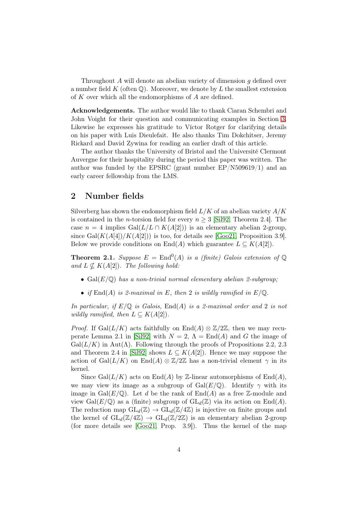Throughout A will denote an abelian variety of dimension g defined over a number field  $K$  (often  $\mathbb Q$ ). Moreover, we denote by  $L$  the smallest extension of K over which all the endomorphisms of A are defined.

Acknowledgements. The author would like to thank Ciaran Schembri and John Voight for their question and communicating examples in Section [3.](#page-8-1) Likewise he expresses his gratitude to Víctor Rotger for clarifying details on his paper with Luis Dieulefait. He also thanks Tim Dokchitser, Jeremy Rickard and David Zywina for reading an earlier draft of this article.

The author thanks the University of Bristol and the Université Clermont Auvergne for their hospitality during the period this paper was written. The author was funded by the EPSRC (grant number EP/N509619/1) and an early career fellowship from the LMS.

# 2 Number fields

Silverberg has shown the endomorphism field  $L/K$  of an abelian variety  $A/K$ is contained in the *n*-torsion field for every  $n \geq 3$  [\[Sil92,](#page-13-0) Theorem 2.4]. The case  $n = 4$  implies Gal( $L/L \cap K(A[2])$ ) is an elementary abelian 2-group, since  $Gal(K(A[4])/K(A[2]))$  is too, for details see [\[Goo21,](#page-12-5) Proposition 3.9]. Below we provide conditions on End(A) which guarantee  $L \subseteq K(A[2])$ .

<span id="page-3-0"></span>**Theorem 2.1.** Suppose  $E = \text{End}^0(A)$  is a (finite) Galois extension of  $\mathbb{Q}$ and  $L \nsubseteq K(A[2])$ . The following hold:

- Gal $(E/\mathbb{Q})$  has a non-trivial normal elementary abelian 2-subgroup;
- if  $\text{End}(A)$  is 2-maximal in E, then 2 is wildly ramified in  $E/\mathbb{Q}$ .

In particular, if  $E/\mathbb{Q}$  is Galois,  $End(A)$  is a 2-maximal order and 2 is not wildly ramified, then  $L \subseteq K(A[2])$ .

*Proof.* If Gal( $L/K$ ) acts faithfully on End(A)  $\otimes \mathbb{Z}/2\mathbb{Z}$ , then we may recu-perate Lemma 2.1 in [\[Sil92\]](#page-13-0) with  $N = 2$ ,  $\Lambda = \text{End}(A)$  and G the image of  $Gal(L/K)$  in Aut( $\Lambda$ ). Following through the proofs of Propositions 2.2, 2.3 and Theorem 2.4 in [\[Sil92\]](#page-13-0) shows  $L \subseteq K(A[2])$ . Hence we may suppose the action of Gal $(L/K)$  on End $(A) \otimes \mathbb{Z}/2\mathbb{Z}$  has a non-trivial element  $\gamma$  in its kernel.

Since Gal $(L/K)$  acts on End(A) by Z-linear automorphisms of End(A), we may view its image as a subgroup of Gal( $E/\mathbb{Q}$ ). Identify  $\gamma$  with its image in  $Gal(E/\mathbb{Q})$ . Let d be the rank of  $End(A)$  as a free Z-module and view Gal( $E/\mathbb{Q}$ ) as a (finite) subgroup of  $GL_d(\mathbb{Z})$  via its action on  $End(A)$ . The reduction map  $GL_d(\mathbb{Z}) \to GL_d(\mathbb{Z}/4\mathbb{Z})$  is injective on finite groups and the kernel of  $GL_d(\mathbb{Z}/4\mathbb{Z}) \to GL_d(\mathbb{Z}/2\mathbb{Z})$  is an elementary abelian 2-group (for more details see [\[Goo21,](#page-12-5) Prop. 3.9]). Thus the kernel of the map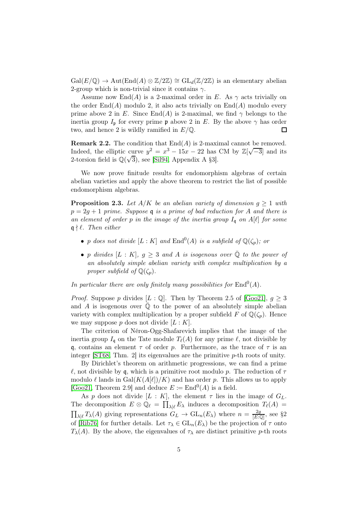$Gal(E/\mathbb{Q}) \to Aut(End(A) \otimes \mathbb{Z}/2\mathbb{Z}) \cong GL_d(\mathbb{Z}/2\mathbb{Z})$  is an elementary abelian 2-group which is non-trivial since it contains  $\gamma$ .

Assume now End(A) is a 2-maximal order in E. As  $\gamma$  acts trivially on the order  $\text{End}(A)$  modulo 2, it also acts trivially on  $\text{End}(A)$  modulo every prime above 2 in E. Since End(A) is 2-maximal, we find  $\gamma$  belongs to the inertia group  $I_{\mathfrak{p}}$  for every prime  $\mathfrak{p}$  above 2 in E. By the above  $\gamma$  has order two, and hence 2 is wildly ramified in  $E/\mathbb{Q}$ .  $\Box$ 

**Remark 2.2.** The condition that  $End(A)$  is 2-maximal cannot be removed. Indeed, the elliptic curve  $y^2 = x^3 - 15x - 22$  has CM by  $\mathbb{Z}[\sqrt{-3}]$  and its 2-torsion field is  $\mathbb{Q}(\sqrt{3})$ , see [\[Sil94,](#page-13-1) Appendix A §3].

We now prove finitude results for endomorphism algebras of certain abelian varieties and apply the above theorem to restrict the list of possible endomorphism algebras.

**Proposition 2.3.** Let  $A/K$  be an abelian variety of dimension  $g \geq 1$  with  $p = 2g + 1$  prime. Suppose q is a prime of bad reduction for A and there is an element of order p in the image of the inertia group  $I_{\mathfrak{q}}$  on  $A[\ell]$  for some  $\mathfrak{q} \nmid \ell$ . Then either

- p does not divide  $[L:K]$  and  $\text{End}^0(A)$  is a subfield of  $\mathbb{Q}(\zeta_p)$ ; or
- p divides  $[L: K]$ ,  $q > 3$  and A is isogenous over  $\overline{Q}$  to the power of an absolutely simple abelian variety with complex multiplication by a proper subfield of  $\mathbb{Q}(\zeta_p)$ .

In particular there are only finitely many possibilities for  $\text{End}^0(A)$ .

*Proof.* Suppose p divides  $[L : \mathbb{Q}]$ . Then by Theorem 2.5 of  $[Goo21], g \geq 3$ and A is isogenous over  $\overline{Q}$  to the power of an absolutely simple abelian variety with complex multiplication by a proper subfield F of  $\mathbb{Q}(\zeta_p)$ . Hence we may suppose p does not divide  $[L:K]$ .

The criterion of Néron-Ogg-Shafarevich implies that the image of the inertia group  $I_{\mathfrak{a}}$  on the Tate module  $T_{\ell}(A)$  for any prime  $\ell$ , not divisible by q, contains an element  $\tau$  of order p. Furthermore, as the trace of  $\tau$  is an integer [\[ST68,](#page-13-5) Thm. 2] its eigenvalues are the primitive p-th roots of unity.

By Dirichlet's theorem on arithmetic progressions, we can find a prime  $\ell$ , not divisible by **q**, which is a primitive root modulo *p*. The reduction of  $\tau$ modulo  $\ell$  lands in Gal $(K(A[\ell])/K)$  and has order p. This allows us to apply [\[Goo21,](#page-12-5) Theorem 2.9] and deduce  $E \coloneqq \text{End}^0(A)$  is a field.

As p does not divide  $[L : K]$ , the element  $\tau$  lies in the image of  $G_L$ . The decomposition  $E \otimes \mathbb{Q}_\ell = \prod_{\lambda | \ell} E_\lambda$  induces a decomposition  $T_\ell(A) =$  $\prod_{\lambda|\ell} T_{\lambda}(A)$  giving representations  $G_L \to \text{GL}_n(E_{\lambda})$  where  $n = \frac{2g}{[E:\mathbb{C}]}$  $\frac{2g}{[E:\mathbb{Q}]}$ , see §2 of [\[Rib76\]](#page-13-6) for further details. Let  $\tau_{\lambda} \in GL_n(E_{\lambda})$  be the projection of  $\tau$  onto  $T_{\lambda}(A)$ . By the above, the eigenvalues of  $\tau_{\lambda}$  are distinct primitive p-th roots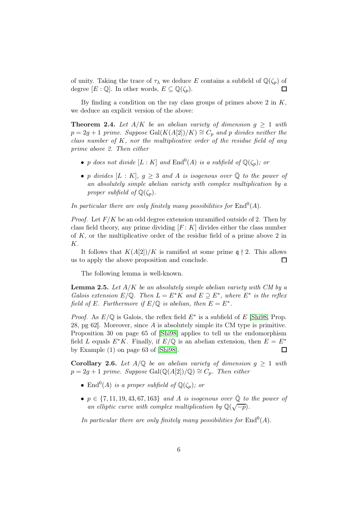of unity. Taking the trace of  $\tau_{\lambda}$  we deduce E contains a subfield of  $\mathbb{Q}(\zeta_p)$  of degree  $[E:\mathbb{Q}]$ . In other words,  $E \subseteq \mathbb{Q}(\zeta_n)$ .  $\Box$ 

By finding a condition on the ray class groups of primes above  $2$  in  $K$ . we deduce an explicit version of the above:

<span id="page-5-1"></span>**Theorem 2.4.** Let  $A/K$  be an abelian variety of dimension  $g \geq 1$  with  $p = 2g + 1$  prime. Suppose Gal $(K(A[2])/K) \cong C_p$  and p divides neither the class number of  $K$ , nor the multiplicative order of the residue field of any prime above 2. Then either

- p does not divide  $[L:K]$  and  $\text{End}^0(A)$  is a subfield of  $\mathbb{Q}(\zeta_p)$ ; or
- p divides  $[L: K]$ ,  $q > 3$  and A is isogenous over  $\overline{Q}$  to the power of an absolutely simple abelian variety with complex multiplication by a proper subfield of  $\mathbb{Q}(\zeta_p)$ .

In particular there are only finitely many possibilities for  $\text{End}^0(A)$ .

*Proof.* Let  $F/K$  be an odd degree extension unramified outside of 2. Then by class field theory, any prime dividing  $[F: K]$  divides either the class number of  $K$ , or the multiplicative order of the residue field of a prime above 2 in K.

It follows that  $K(A[2])/K$  is ramified at some prime  $q \nmid 2$ . This allows us to apply the above proposition and conclude.  $\Box$ 

The following lemma is well-known.

<span id="page-5-2"></span>**Lemma 2.5.** Let  $A/K$  be an absolutely simple abelian variety with CM by a Galois extension  $E/\mathbb{Q}$ . Then  $L = E^*K$  and  $E \supseteq E^*$ , where  $E^*$  is the reflex field of E. Furthermore if  $E/\mathbb{Q}$  is abelian, then  $E=E^*$ .

*Proof.* As  $E/\mathbb{Q}$  is Galois, the reflex field  $E^*$  is a subfield of E [\[Shi98,](#page-13-7) Prop. 28, pg 62]. Moreover, since A is absolutely simple its CM type is primitive. Proposition 30 on page 65 of [\[Shi98\]](#page-13-7) applies to tell us the endomorphism field L equals  $E^*K$ . Finally, if  $E/\mathbb{Q}$  is an abelian extension, then  $E = E^*$ by Example (1) on page 63 of [\[Shi98\]](#page-13-7).  $\Box$ 

<span id="page-5-0"></span>**Corollary 2.6.** Let  $A/\mathbb{Q}$  be an abelian variety of dimension  $g \geq 1$  with  $p = 2g + 1$  prime. Suppose Gal( $\mathbb{Q}(A[2])/\mathbb{Q}$ ) ≅  $C_p$ . Then either

- End<sup>0</sup>(A) is a proper subfield of  $\mathbb{Q}(\zeta_p)$ ; or
- $p \in \{7, 11, 19, 43, 67, 163\}$  and A is isogenous over  $\overline{Q}$  to the power of an elliptic curve with complex multiplication by  $\mathbb{Q}(\sqrt{-p})$ .

In particular there are only finitely many possibilities for  $\text{End}^0(A)$ .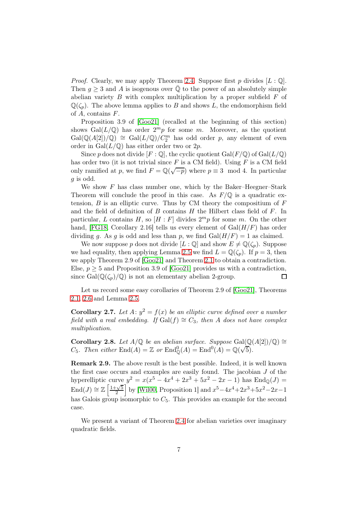*Proof.* Clearly, we may apply Theorem [2.4.](#page-5-1) Suppose first p divides  $[L:\mathbb{Q}]$ . Then  $q \geq 3$  and A is isogenous over  $\overline{Q}$  to the power of an absolutely simple abelian variety  $B$  with complex multiplication by a proper subfield  $F$  of  $\mathbb{Q}(\zeta_n)$ . The above lemma applies to B and shows L, the endomorphism field of A, contains F.

Proposition 3.9 of [\[Goo21\]](#page-12-5) (recalled at the beginning of this section) shows  $Gal(L/\mathbb{Q})$  has order  $2^mp$  for some m. Moreover, as the quotient  $Gal(\mathbb{Q}(A[2])/\mathbb{Q}) \cong Gal(L/\mathbb{Q})/C_2^m$  has odd order p, any element of even order in  $Gal(L/\mathbb{Q})$  has either order two or 2p.

Since p does not divide  $[F: \mathbb{Q}]$ , the cyclic quotient  $Gal(F/\mathbb{Q})$  of  $Gal(L/\mathbb{Q})$ has order two (it is not trivial since  $F$  is a CM field). Using  $F$  is a CM field only ramified at p, we find  $F = \mathbb{Q}(\sqrt{-p})$  where  $p \equiv 3 \mod 4$ . In particular g is odd.

We show  $F$  has class number one, which by the Baker–Heegner–Stark Theorem will conclude the proof in this case. As  $F/\mathbb{Q}$  is a quadratic extension,  $B$  is an elliptic curve. Thus by CM theory the compositium of  $F$ and the field of definition of  $B$  contains  $H$  the Hilbert class field of  $F$ . In particular, L contains H, so  $[H:F]$  divides  $2<sup>m</sup>p$  for some m. On the other hand, [\[FG18,](#page-12-6) Corollary 2.16] tells us every element of  $Gal(H/F)$  has order dividing g. As g is odd and less than p, we find  $Gal(H/F) = 1$  as claimed.

We now suppose p does not divide  $[L:\mathbb{Q}]$  and show  $E \neq \mathbb{Q}(\zeta_p)$ . Suppose we had equality, then applying Lemma [2.5](#page-5-2) we find  $L = \mathbb{Q}(\zeta_p)$ . If  $p = 3$ , then we apply Theorem 2.9 of [\[Goo21\]](#page-12-5) and Theorem [2.1](#page-3-0) to obtain a contradiction. Else,  $p \ge 5$  and Proposition 3.9 of [\[Goo21\]](#page-12-5) provides us with a contradiction, since Gal( $\mathbb{O}(\zeta_n)/\mathbb{O}$ ) is not an elementary abelian 2-group. since  $Gal(\mathbb{Q}(\zeta_p)/\mathbb{Q})$  is not an elementary abelian 2-group.

Let us record some easy corollaries of Theorem 2.9 of [\[Goo21\]](#page-12-5), Theorems [2.1,](#page-3-0) [2.6](#page-5-0) and Lemma [2.5.](#page-5-2)

<span id="page-6-0"></span>**Corollary 2.7.** Let  $A: y^2 = f(x)$  be an elliptic curve defined over a number field with a real embedding. If Gal(f)  $\cong C_3$ , then A does not have complex multiplication.

<span id="page-6-1"></span>Corollary 2.8. Let  $A/\mathbb{Q}$  be an abelian surface. Suppose Gal( $\mathbb{Q}(A[2])/\mathbb{Q}$ ) ≅ C<sub>5</sub>. Then either End(A) = Z or End<sub>Q</sub>(A) = End<sup>0</sup>(A) = Q( $\sqrt{5}$ ).

Remark 2.9. The above result is the best possible. Indeed, it is well known the first case occurs and examples are easily found. The jacobian  $J$  of the hyperelliptic curve  $y^2 = x(x^5 - 4x^4 + 2x^3 + 5x^2 - 2x - 1)$  has  $\text{End}_{\mathbb{Q}}(J) =$  $\text{End}(J) \cong \mathbb{Z} \left[ \frac{1+\sqrt{5}}{2} \right]$  $\frac{1}{2}$  by [\[Wil00,](#page-13-3) Proposition 1] and  $x^5 - 4x^4 + 2x^3 + 5x^2 - 2x - 1$ has Galois group isomorphic to  $C_5$ . This provides an example for the second case.

We present a variant of Theorem [2.4](#page-5-1) for abelian varieties over imaginary quadratic fields.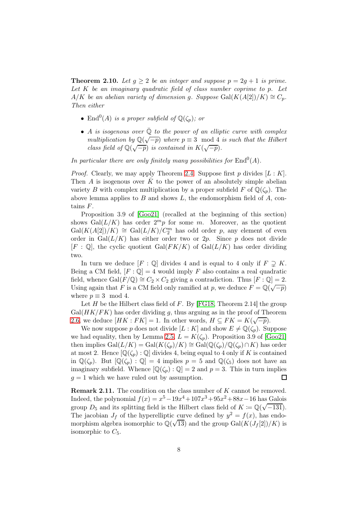**Theorem 2.10.** Let  $g \geq 2$  be an integer and suppose  $p = 2g + 1$  is prime. Let  $K$  be an imaginary quadratic field of class number coprime to  $p$ . Let A/K be an abelian variety of dimension g. Suppose Gal(K(A[2])/K)  $\cong C_p$ . Then either

- End<sup>0</sup>(A) is a proper subfield of  $\mathbb{Q}(\zeta_p)$ ; or
- A is isogenous over  $\overline{Q}$  to the power of an elliptic curve with complex multiplication by  $\mathbb{Q}(\sqrt{-p})$  where  $p \equiv 3 \mod 4$  is such that the Hilbert class field of  $\mathbb{Q}(\sqrt{-p})$  is contained in  $K(\sqrt{-p})$ .

In particular there are only finitely many possibilities for  $\text{End}^0(A)$ .

*Proof.* Clearly, we may apply Theorem [2.4.](#page-5-1) Suppose first p divides  $[L:K]$ . Then A is isogenous over  $\bar{K}$  to the power of an absolutely simple abelian variety B with complex multiplication by a proper subfield F of  $\mathbb{Q}(\zeta_n)$ . The above lemma applies to  $B$  and shows  $L$ , the endomorphism field of  $A$ , contains F.

Proposition 3.9 of [\[Goo21\]](#page-12-5) (recalled at the beginning of this section) shows  $Gal(L/K)$  has order  $2<sup>m</sup>p$  for some m. Moreover, as the quotient  $Gal(K(A[2])/K) \cong Gal(L/K)/C_2^m$  has odd order p, any element of even order in  $Gal(L/K)$  has either order two or 2p. Since p does not divide  $[F : \mathbb{Q}]$ , the cyclic quotient  $Gal(FK/K)$  of  $Gal(L/K)$  has order dividing two.

In turn we deduce  $[F: \mathbb{Q}]$  divides 4 and is equal to 4 only if  $F \supsetneq K$ . Being a CM field,  $[F: \mathbb{Q}] = 4$  would imply F also contains a real quadratic field, whence Gal $(F/\mathbb{Q}) \cong C_2 \times C_2$  giving a contradiction. Thus  $[F: \mathbb{Q}] = 2$ . Using again that F is a CM field only ramified at p, we deduce  $F = \mathbb{Q}(\sqrt{-p})$ where  $p \equiv 3 \mod 4$ .

Let H be the Hilbert class field of F. By [\[FG18,](#page-12-6) Theorem 2.14] the group  $Gal(HK/FK)$  has order dividing q, thus arguing as in the proof of Theorem [2.6,](#page-5-0) we deduce  $[HK : FK] = 1$ . In other words,  $H \subseteq FK = K(\sqrt{-p})$ .

We now suppose p does not divide  $[L: K]$  and show  $E \neq \mathbb{Q}(\zeta_p)$ . Suppose we had equality, then by Lemma [2.5,](#page-5-2)  $L = K(\zeta_p)$ . Proposition 3.9 of [\[Goo21\]](#page-12-5) then implies  $Gal(L/K) = Gal(K(\zeta_p)/K) \cong Gal(\mathbb{Q}(\zeta_p)/\mathbb{Q}(\zeta_p) \cap K)$  has order at most 2. Hence  $[\mathbb{Q}(\zeta_p) : \mathbb{Q}]$  divides 4, being equal to 4 only if K is contained in  $\mathbb{Q}(\zeta_p)$ . But  $[\mathbb{Q}(\zeta_p) : \mathbb{Q}] = 4$  implies  $p = 5$  and  $\mathbb{Q}(\zeta_5)$  does not have an imaginary subfield. Whence  $[\mathbb{Q}(\zeta_p) : \mathbb{Q}] = 2$  and  $p = 3$ . This in turn implies  $g = 1$  which we have ruled out by assumption.  $\Box$ 

**Remark 2.11.** The condition on the class number of K cannot be removed. Indeed, the polynomial  $f(x) = x^5 - 19x^4 + 107x^3 + 95x^2 + 88x - 16$  has Galois group  $D_5$  and its splitting field is the Hilbert class field of  $K := \mathbb{Q}(\sqrt{-131})$ . The jacobian  $J_f$  of the hyperelliptic curve defined by  $y^2 = f(x)$ , has endomorphism algebra isomorphic to  $\mathbb{Q}(\sqrt{13})$  and the group  $Gal(K(J_f[2])/K)$  is isomorphic to  $C_5$ .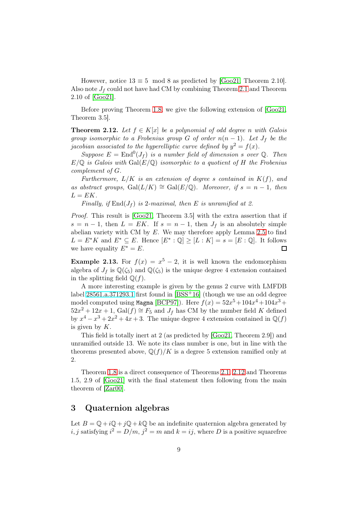However, notice  $13 \equiv 5 \mod 8$  as predicted by [\[Goo21,](#page-12-5) Theorem 2.10]. Also note  $J_f$  could not have had CM by combining Theorem [2.1](#page-3-0) and Theorem 2.10 of [\[Goo21\]](#page-12-5).

Before proving Theorem [1.8,](#page-2-0) we give the following extension of [\[Goo21,](#page-12-5) Theorem 3.5].

<span id="page-8-0"></span>**Theorem 2.12.** Let  $f \in K[x]$  be a polynomial of odd degree n with Galois group isomorphic to a Frobenius group G of order  $n(n-1)$ . Let  $J_f$  be the jacobian associated to the hyperelliptic curve defined by  $y^2 = f(x)$ .

Suppose  $E = \text{End}^0(J_f)$  is a number field of dimension s over Q. Then  $E/\mathbb{Q}$  is Galois with  $Gal(E/\mathbb{Q})$  isomorphic to a quotient of H the Frobenius complement of G.

Furthermore,  $L/K$  is an extension of degree s contained in  $K(f)$ , and as abstract groups,  $Gal(L/K) \cong Gal(E/\mathbb{Q})$ . Moreover, if  $s = n - 1$ , then  $L = EK$ .

Finally, if  $\text{End}(J_f)$  is 2-maximal, then E is unramified at 2.

Proof. This result is [\[Goo21,](#page-12-5) Theorem 3.5] with the extra assertion that if  $s = n - 1$ , then  $L = EK$ . If  $s = n - 1$ , then  $J_f$  is an absolutely simple abelian variety with CM by  $E$ . We may therefore apply Lemma [2.5](#page-5-2) to find  $L = E^*K$  and  $E^* \subseteq E$ . Hence  $[E^* : \mathbb{Q}] \geq [L : K] = s = [E : \mathbb{Q}]$ . It follows we have equality  $E^* = E$ .

**Example 2.13.** For  $f(x) = x^5 - 2$ , it is well known the endomorphism algebra of  $J_f$  is  $\mathbb{Q}(\zeta_5)$  and  $\mathbb{Q}(\zeta_5)$  is the unique degree 4 extension contained in the splitting field  $\mathbb{Q}(f)$ .

A more interesting example is given by the genus 2 curve with LMFDB label [28561.a.371293.1](https://www.lmfdb.org/Genus2Curve/Q/28561/a/371293/1) first found in  $[{\rm BSS^+16}]$  (though we use an odd degree model computed using Magma [\[BCP97\]](#page-12-8)). Here  $f(x) = 52x^5 + 104x^4 + 104x^3 +$  $52x^2 + 12x + 1$ ,  $Gal(f) \cong F_5$  and  $J_f$  has CM by the number field K defined by  $x^4 - x^3 + 2x^2 + 4x + 3$ . The unique degree 4 extension contained in  $\mathbb{Q}(f)$ is given by  $K$ .

This field is totally inert at 2 (as predicted by [\[Goo21,](#page-12-5) Theorem 2.9]) and unramified outside 13. We note its class number is one, but in line with the theorems presented above,  $\mathcal{Q}(f)/K$  is a degree 5 extension ramified only at 2.

Theorem [1.8](#page-2-0) is a direct consequence of Theorems [2.1,](#page-3-0) [2.12](#page-8-0) and Theorems 1.5, 2.9 of [\[Goo21\]](#page-12-5) with the final statement then following from the main theorem of [\[Zar00\]](#page-13-4).

# <span id="page-8-1"></span>3 Quaternion algebras

Let  $B = \mathbb{Q} + i\mathbb{Q} + j\mathbb{Q} + k\mathbb{Q}$  be an indefinite quaternion algebra generated by *i*, *j* satisfying  $i^2 = D/m$ ,  $j^2 = m$  and  $k = ij$ , where D is a positive squarefree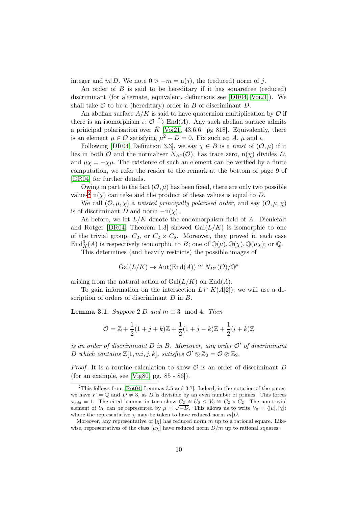integer and m|D. We note  $0 > -m = n(j)$ , the (reduced) norm of j.

An order of  $B$  is said to be hereditary if it has squarefree (reduced) discriminant (for alternate, equivalent, definitions see [\[DR04,](#page-12-9) [Voi21\]](#page-13-8)). We shall take  $\mathcal O$  to be a (hereditary) order in  $B$  of discriminant  $D$ .

An abelian surface  $A/K$  is said to have quaternion multiplication by  $\mathcal O$  if there is an isomorphism  $\iota: \mathcal{O} \xrightarrow{\sim} \text{End}(A)$ . Any such abelian surface admits a principal polarisation over  $\bar{K}$  [\[Voi21,](#page-13-8) 43.6.6. pg 818]. Equivalently, there is an element  $\mu \in \mathcal{O}$  satisfying  $\mu^2 + D = 0$ . Fix such an A,  $\mu$  and  $\mu$ .

Following [\[DR04,](#page-12-9) Definition 3.3], we say  $\chi \in B$  is a twist of  $(0, \mu)$  if it lies in both  $\mathcal O$  and the normaliser  $N_{B^*}(\mathcal O)$ , has trace zero, n( $\chi$ ) divides D, and  $\mu\chi = -\chi\mu$ . The existence of such an element can be verified by a finite computation, we refer the reader to the remark at the bottom of page 9 of [\[DR04\]](#page-12-9) for further details.

Owing in part to the fact  $(0, \mu)$  has been fixed, there are only two possible values<sup>[2](#page-9-0)</sup> n(x) can take and the product of these values is equal to D.

We call  $(0, \mu, \chi)$  a twisted principally polarised order, and say  $(0, \mu, \chi)$ is of discriminant D and norm  $-n(\chi)$ .

As before, we let  $L/K$  denote the endomorphism field of A. Dieulefait and Rotger [\[DR04,](#page-12-9) Theorem 1.3] showed  $Gal(L/K)$  is isomorphic to one of the trivial group,  $C_2$ , or  $C_2 \times C_2$ . Moreover, they proved in each case End ${}_{K}^{0}(A)$  is respectively isomorphic to B; one of  $\mathbb{Q}(\mu), \mathbb{Q}(\chi), \mathbb{Q}(\mu\chi)$ ; or  $\mathbb{Q}.$ 

This determines (and heavily restricts) the possible images of

$$
\operatorname{Gal}(L/K) \to \operatorname{Aut}(\operatorname{End}(A)) \cong N_{B^*}(\mathcal{O})/\mathbb{Q}^*
$$

arising from the natural action of  $Gal(L/K)$  on  $End(A)$ .

To gain information on the intersection  $L \cap K(A[2])$ , we will use a description of orders of discriminant D in B.

<span id="page-9-1"></span>**Lemma 3.1.** Suppose  $2|D \text{ and } m \equiv 3 \mod 4$ . Then

$$
\mathcal{O} = \mathbb{Z} + \frac{1}{2}(1+j+k)\mathbb{Z} + \frac{1}{2}(1+j-k)\mathbb{Z} + \frac{1}{2}(i+k)\mathbb{Z}
$$

is an order of discriminant D in B. Moreover, any order  $\mathcal{O}'$  of discriminant D which contains  $\mathbb{Z}[1, mi, j, k]$ , satisfies  $\mathcal{O}' \otimes \mathbb{Z}_2 = \mathcal{O} \otimes \mathbb{Z}_2$ .

*Proof.* It is a routine calculation to show  $\mathcal O$  is an order of discriminant  $D$ (for an example, see [\[Vig80,](#page-13-9) pg. 85 - 86]).

<span id="page-9-0"></span><sup>&</sup>lt;sup>2</sup>This follows from [\[Rot04,](#page-13-10) Lemmas 3.5 and 3.7]. Indeed, in the notation of the paper, we have  $F = \mathbb{Q}$  and  $D \neq 3$ , as D is divisible by an even number of primes. This forces  $\omega_{odd} = 1$ . The cited lemmas in turn show  $C_2 \cong U_0 \leq V_0 \cong C_2 \times C_2$ . The non-trivial element of  $U_0$  can be represented by  $\mu = \sqrt{-D}$ . This allows us to write  $V_0 = \langle [\mu], [\chi] \rangle$ where the representative  $\chi$  may be taken to have reduced norm  $m|D$ .

Moreover, any representative of  $[\chi]$  has reduced norm m up to a rational square. Likewise, representatives of the class  $[\mu \chi]$  have reduced norm  $D/m$  up to rational squares.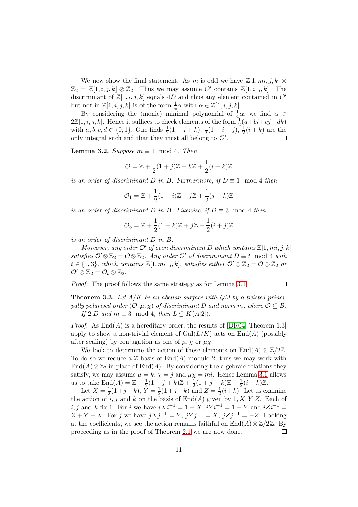We now show the final statement. As m is odd we have  $\mathbb{Z}[1, mi, j, k] \otimes$  $\mathbb{Z}_2 = \mathbb{Z}[1, i, j, k] \otimes \mathbb{Z}_2$ . Thus we may assume  $\mathcal{O}'$  contains  $\mathbb{Z}[1, i, j, k]$ . The discriminant of  $\mathbb{Z}[1, i, j, k]$  equals 4D and thus any element contained in  $\mathcal{O}'$ but not in  $\mathbb{Z}[1, i, j, k]$  is of the form  $\frac{1}{4}\alpha$  with  $\alpha \in \mathbb{Z}[1, i, j, k]$ .

By considering the (monic) minimal polynomial of  $\frac{1}{4}\alpha$ , we find  $\alpha \in$  $2\mathbb{Z}[1, i, j, k]$ . Hence it suffices to check elements of the form  $\frac{1}{2}(a+bi+cj+dk)$ with  $a, b, c, d \in \{0, 1\}$ . One finds  $\frac{1}{2}(1 + j + k)$ ,  $\frac{1}{2}$  $\frac{1}{2}(1+i+j), \frac{1}{2}$  $\frac{1}{2}(i+k)$  are the only integral such and that they must all belong to  $\mathcal{O}'$ . 囗

<span id="page-10-1"></span>**Lemma 3.2.** Suppose  $m \equiv 1 \mod 4$ . Then

$$
\mathcal{O} = \mathbb{Z} + \frac{1}{2}(1+j)\mathbb{Z} + k\mathbb{Z} + \frac{1}{2}(i+k)\mathbb{Z}
$$

is an order of discriminant D in B. Furthermore, if  $D \equiv 1 \mod 4$  then

$$
\mathcal{O}_1 = \mathbb{Z} + \frac{1}{2}(1+i)\mathbb{Z} + j\mathbb{Z} + \frac{1}{2}(j+k)\mathbb{Z}
$$

is an order of discriminant D in B. Likewise, if  $D \equiv 3 \mod 4$  then

$$
\mathcal{O}_3 = \mathbb{Z} + \frac{1}{2}(1+k)\mathbb{Z} + j\mathbb{Z} + \frac{1}{2}(i+j)\mathbb{Z}
$$

is an order of discriminant D in B.

Moreover, any order  $\mathcal{O}'$  of even discriminant D which contains  $\mathbb{Z}[1, mi, j, k]$ satisfies  $\mathcal{O}' \otimes \mathbb{Z}_2 = \mathcal{O} \otimes \mathbb{Z}_2$ . Any order  $\mathcal{O}'$  of discriminant  $D \equiv t \mod 4$  with  $t \in \{1,3\}$ , which contains  $\mathbb{Z}[1, mi, j, k]$ , satisfies either  $\mathcal{O}' \otimes \mathbb{Z}_2 = \mathcal{O} \otimes \mathbb{Z}_2$  or  $\mathcal{O}'\otimes\mathbb{Z}_2=\mathcal{O}_t\otimes\mathbb{Z}_2.$ 

Proof. The proof follows the same strategy as for Lemma [3.1.](#page-9-1)

 $\Box$ 

<span id="page-10-0"></span>**Theorem 3.3.** Let  $A/K$  be an abelian surface with QM by a twisted principally polarised order  $(0, \mu, \chi)$  of discriminant D and norm m, where  $0 \subset B$ . If  $2|D \text{ and } m \equiv 3 \mod 4$ , then  $L \subseteq K(A[2]).$ 

*Proof.* As  $\text{End}(A)$  is a hereditary order, the results of [\[DR04,](#page-12-9) Theorem 1.3] apply to show a non-trivial element of  $Gal(L/K)$  acts on  $End(A)$  (possibly after scaling) by conjugation as one of  $\mu$ ,  $\chi$  or  $\mu\chi$ .

We look to determine the action of these elements on  $\text{End}(A) \otimes \mathbb{Z}/2\mathbb{Z}$ . To do so we reduce a  $\mathbb{Z}$ -basis of  $\text{End}(A)$  modulo 2, thus we may work with End(A)⊗Z<sub>2</sub> in place of End(A). By considering the algebraic relations they satisfy, we may assume  $\mu = k$ ,  $\chi = j$  and  $\mu \chi = mi$ . Hence Lemma [3.1](#page-9-1) allows us to take  $\text{End}(A) = \mathbb{Z} + \frac{1}{2}$  $\frac{1}{2}(1+j+k)\mathbb{Z}+\frac{1}{2}$  $\frac{1}{2}(1+j-k)\mathbb{Z}+\frac{1}{2}$  $rac{1}{2}(i+k)\mathbb{Z}$ .

Let  $X=\frac{1}{2}$  $\frac{1}{2}(1+j+k), \bar{Y} = \frac{1}{2}$  $\frac{1}{2}(1+j-k)$  and  $Z=\frac{1}{2}$  $\frac{1}{2}(i+k)$ . Let us examine the action of i, j and k on the basis of  $End(A)$  given by  $1, X, Y, Z$ . Each of i, j and k fix 1. For i we have  $iX_i^{-1} = 1 - X$ ,  $iY_i^{-1} = 1 - Y$  and  $iZ_i^{-1} =$  $Z + Y - X$ . For j we have  $jXj^{-1} = Y$ ,  $jYj^{-1} = X$ ,  $jZj^{-1} = -Z$ . Looking at the coefficients, we see the action remains faithful on  $\text{End}(A) \otimes \mathbb{Z}/2\mathbb{Z}$ . By proceeding as in the proof of Theorem 2.1 we are now done. proceeding as in the proof of Theorem [2.1](#page-3-0) we are now done.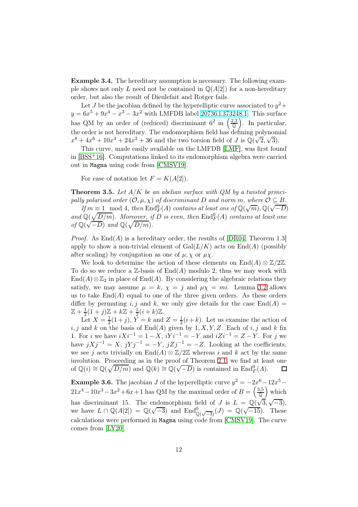Example 3.4. The hereditary assumption is necessary. The following example shows not only L need not be contained in  $\mathbb{Q}(A[2])$  for a non-hereditary order, but also the result of Dieulefait and Rotger fails.

Let J be the jacobian defined by the hyperelliptic curve associated to  $y^2$ +  $y = 6x^5 + 9x^4 - x^3 - 3x^2$  with LMFDB label 20736.1.373248.1. This surface has QM by an order of (reduced) discriminant  $6^2$  in  $\left(\frac{2,3}{0}\right)$  $\left(\frac{2,3}{\mathbb{Q}}\right)$ . In particular, the order is not hereditary. The endomorphism field has defining polynomial  $x^8 + 4x^6 + 10x^4 + 24x^2 + 36$  and the two torsion field of J is  $\mathbb{Q}(\sqrt{2}, \sqrt{3})$ .

This curve, made easily available on the LMFDB [\[LMF\]](#page-13-11), was first found in [\[BSS](#page-12-7)+16]. Computations linked to its endomorphism algebra were carried out in Magma using code from [\[CMSV19\]](#page-12-10).

For ease of notation let  $F = K(A[2])$ .

<span id="page-11-0"></span>**Theorem 3.5.** Let  $A/K$  be an abelian surface with QM by a twisted principally polarised order  $(0, \mu, \chi)$  of discriminant D and norm m, where  $\mathcal{O} \subseteq B$ .

If  $m \equiv 1 \mod 4$ , then  $\text{End}_F^0(A)$  contains at least one of  $\mathbb{Q}(\sqrt{m}), \mathbb{Q}(\sqrt{-D})$ and  $\mathbb{Q}(\sqrt{D/m})$ . Moreover, if D is even, then  $\text{End}_F^0(A)$  contains at least one of  $\mathbb{Q}(\sqrt{-D})$  and  $\mathbb{Q}(\sqrt{D/m})$ .

*Proof.* As  $\text{End}(A)$  is a hereditary order, the results of [\[DR04,](#page-12-9) Theorem 1.3] apply to show a non-trivial element of  $Gal(L/K)$  acts on  $End(A)$  (possibly after scaling) by conjugation as one of  $\mu$ ,  $\chi$  or  $\mu\chi$ .

We look to determine the action of these elements on  $\text{End}(A) \otimes \mathbb{Z}/2\mathbb{Z}$ . To do so we reduce a  $\mathbb{Z}$ -basis of  $\text{End}(A)$  modulo 2, thus we may work with End(A)⊗Z<sub>2</sub> in place of End(A). By considering the algebraic relations they satisfy, we may assume  $\mu = k$ ,  $\chi = j$  and  $\mu \chi = mi$ . Lemma [3.2](#page-10-1) allows us to take  $\text{End}(A)$  equal to one of the three given orders. As these orders differ by permuting i, j and k, we only give details for the case  $\text{End}(A)$  =  $\mathbb{Z} + \frac{1}{2}(1+j)\mathbb{Z} + k\mathbb{Z} + \frac{1}{2}(i+k)\mathbb{Z}.$ 

Let  $X = \frac{1}{2}(1+j)$ ,  $\overline{Y} = k$  and  $Z = \frac{1}{2}(i+k)$ . Let us examine the action of  $i, j$  and k on the basis of End(A) given by  $1, X, Y, Z$ . Each of i, j and k fix 1. For i we have  $iXi^{-1} = 1 - X$ ,  $iYi^{-1} = -Y$  and  $iZi^{-1} = Z - Y$ . For j we have  $jXj^{-1} = X$ ,  $jYj^{-1} = -Y$ ,  $jZj^{-1} = -Z$ . Looking at the coefficients, we see j acts trivially on End(A)  $\otimes \mathbb{Z}/2\mathbb{Z}$  whereas i and k act by the same involution. Proceeding as in the proof of Theorem [2.1,](#page-3-0) we find at least one of  $\mathbb{Q}(i) \cong \mathbb{Q}(\sqrt{D/m})$  and  $\mathbb{Q}(k) \cong \mathbb{Q}(\sqrt{-D})$  is contained in End $_{F}^{0}(A)$ .  $\Box$ 

**Example 3.6.** The jacobian J of the hyperelliptic curve  $y^2 = -2x^6 - 12x^5 21x^4 - 10x^3 - 3x^2 + 6x + 1$  has QM by the maximal order of  $B = \begin{pmatrix} 3.5 \\ \hline Q \end{pmatrix}$  $\frac{3,5}{\mathbb{Q}}$  which has discriminant 15. The endomorphism field of J is  $L = \mathbb{Q}(\sqrt{3}, \sqrt{-3})$ , we have  $L \cap \mathbb{Q}(A[2]) = \mathbb{Q}(\sqrt{-3})$  and  $\text{End}_{\mathbb{Q}(\sqrt{-3})}^0(J) = \mathbb{Q}(\sqrt{-15})$ . These calculations were performed in Magma using code from [\[CMSV19\]](#page-12-10). The curve comes from [\[LY20\]](#page-13-12).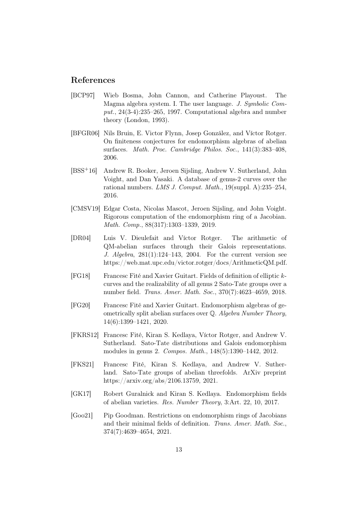### References

- <span id="page-12-8"></span>[BCP97] Wieb Bosma, John Cannon, and Catherine Playoust. The Magma algebra system. I. The user language. J. Symbolic Comput.,  $24(3-4):235-265$ , 1997. Computational algebra and number theory (London, 1993).
- <span id="page-12-1"></span>[BFGR06] Nils Bruin, E. Victor Flynn, Josep González, and Víctor Rotger. On finiteness conjectures for endomorphism algebras of abelian surfaces. Math. Proc. Cambridge Philos. Soc., 141(3):383–408, 2006.
- <span id="page-12-7"></span>[BSS+16] Andrew R. Booker, Jeroen Sijsling, Andrew V. Sutherland, John Voight, and Dan Yasaki. A database of genus-2 curves over the rational numbers. LMS J. Comput. Math., 19(suppl. A):235–254, 2016.
- <span id="page-12-10"></span>[CMSV19] Edgar Costa, Nicolas Mascot, Jeroen Sijsling, and John Voight. Rigorous computation of the endomorphism ring of a Jacobian. Math. Comp., 88(317):1303–1339, 2019.
- <span id="page-12-9"></span>[DR04] Luis V. Dieulefait and Víctor Rotger. The arithmetic of QM-abelian surfaces through their Galois representations. J. Algebra, 281(1):124–143, 2004. For the current version see https://web.mat.upc.edu/victor.rotger/docs/ArithmeticQM.pdf.
- <span id="page-12-6"></span>[FG18] Francesc Fité and Xavier Guitart. Fields of definition of elliptic kcurves and the realizability of all genus 2 Sato-Tate groups over a number field. Trans. Amer. Math. Soc., 370(7):4623–4659, 2018.
- <span id="page-12-0"></span>[FG20] Francesc Fité and Xavier Guitart. Endomorphism algebras of geometrically split abelian surfaces over Q. Algebra Number Theory, 14(6):1399–1421, 2020.
- <span id="page-12-3"></span>[FKRS12] Francesc Fité, Kiran S. Kedlaya, Víctor Rotger, and Andrew V. Sutherland. Sato-Tate distributions and Galois endomorphism modules in genus 2. Compos. Math., 148(5):1390–1442, 2012.
- <span id="page-12-4"></span>[FKS21] Francesc Fité, Kiran S. Kedlaya, and Andrew V. Sutherland. Sato-Tate groups of abelian threefolds. ArXiv preprint https://arxiv.org/abs/2106.13759, 2021.
- <span id="page-12-2"></span>[GK17] Robert Guralnick and Kiran S. Kedlaya. Endomorphism fields of abelian varieties. Res. Number Theory, 3:Art. 22, 10, 2017.
- <span id="page-12-5"></span>[Goo21] Pip Goodman. Restrictions on endomorphism rings of Jacobians and their minimal fields of definition. Trans. Amer. Math. Soc., 374(7):4639–4654, 2021.